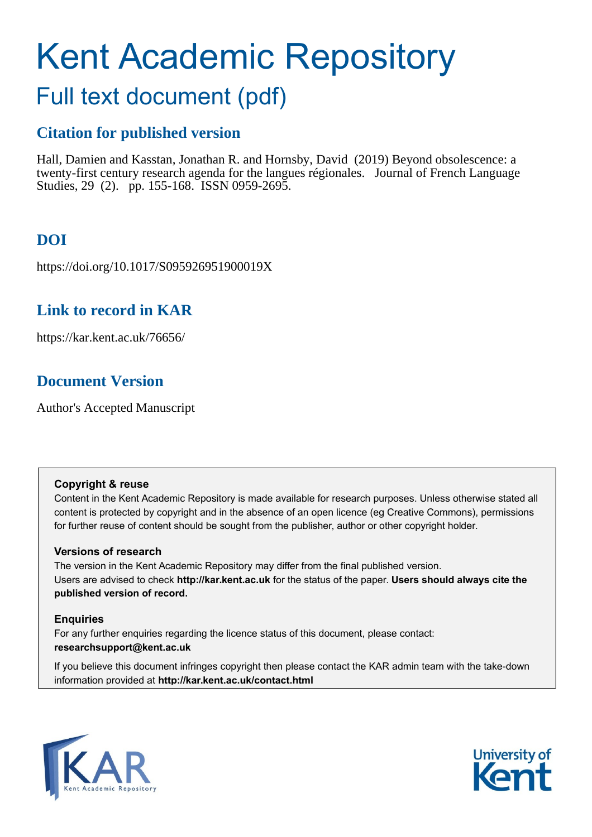# Kent Academic Repository

## Full text document (pdf)

## **Citation for published version**

Hall, Damien and Kasstan, Jonathan R. and Hornsby, David (2019) Beyond obsolescence: a twenty-first century research agenda for the langues régionales. Journal of French Language Studies, 29 (2). pp. 155-168. ISSN 0959-2695.

## **DOI**

https://doi.org/10.1017/S095926951900019X

## **Link to record in KAR**

https://kar.kent.ac.uk/76656/

## **Document Version**

Author's Accepted Manuscript

#### **Copyright & reuse**

Content in the Kent Academic Repository is made available for research purposes. Unless otherwise stated all content is protected by copyright and in the absence of an open licence (eg Creative Commons), permissions for further reuse of content should be sought from the publisher, author or other copyright holder.

#### **Versions of research**

The version in the Kent Academic Repository may differ from the final published version. Users are advised to check **http://kar.kent.ac.uk** for the status of the paper. **Users should always cite the published version of record.**

#### **Enquiries**

For any further enquiries regarding the licence status of this document, please contact: **researchsupport@kent.ac.uk**

If you believe this document infringes copyright then please contact the KAR admin team with the take-down information provided at **http://kar.kent.ac.uk/contact.html**



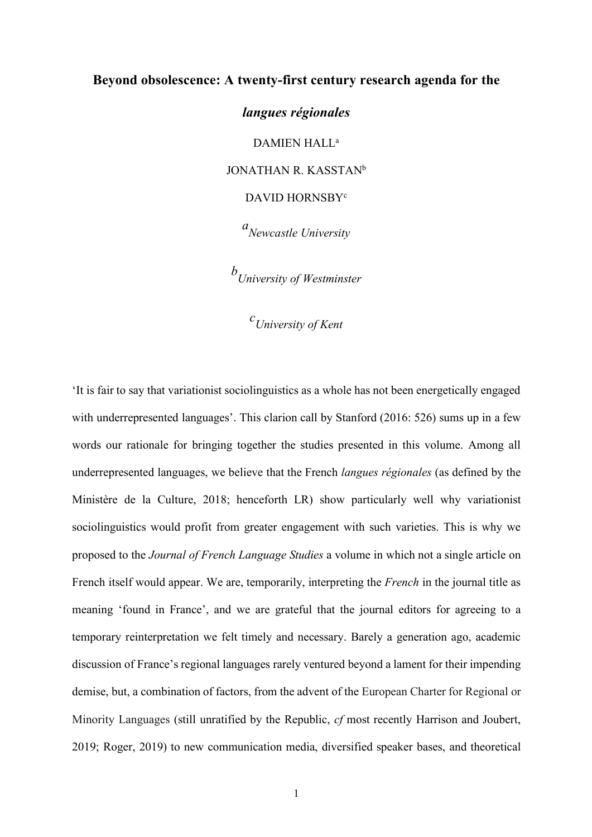#### **Beyond obsolescence: A twenty-first century research agenda for the**

*langues régionales* DAMIEN HALL<sup>a</sup> JONATHAN R. KASSTAN<sup>b</sup> DAVID HORNSBYc

*a Newcastle University*

*b University of Westminster*

*c University of Kent*

'It is fair to say that variationist sociolinguistics as a whole has not been energetically engaged with underrepresented languages'. This clarion call by Stanford (2016: 526) sums up in a few words our rationale for bringing together the studies presented in this volume. Among all underrepresented languages, we believe that the French *langues régionales* (as defined by the Ministère de la Culture, 2018; henceforth LR) show particularly well why variationist sociolinguistics would profit from greater engagement with such varieties. This is why we proposed to the *Journal of French Language Studies* a volume in which not a single article on French itself would appear. We are, temporarily, interpreting the *French* in the journal title as meaning 'found in France', and we are grateful that the journal editors for agreeing to a temporary reinterpretation we felt timely and necessary. Barely a generation ago, academic discussion of France's regional languages rarely ventured beyond a lament for their impending demise, but, a combination of factors, from the advent of the European Charter for Regional or Minority Languages (still unratified by the Republic, *cf* most recently Harrison and Joubert, 2019; Roger, 2019) to new communication media, diversified speaker bases, and theoretical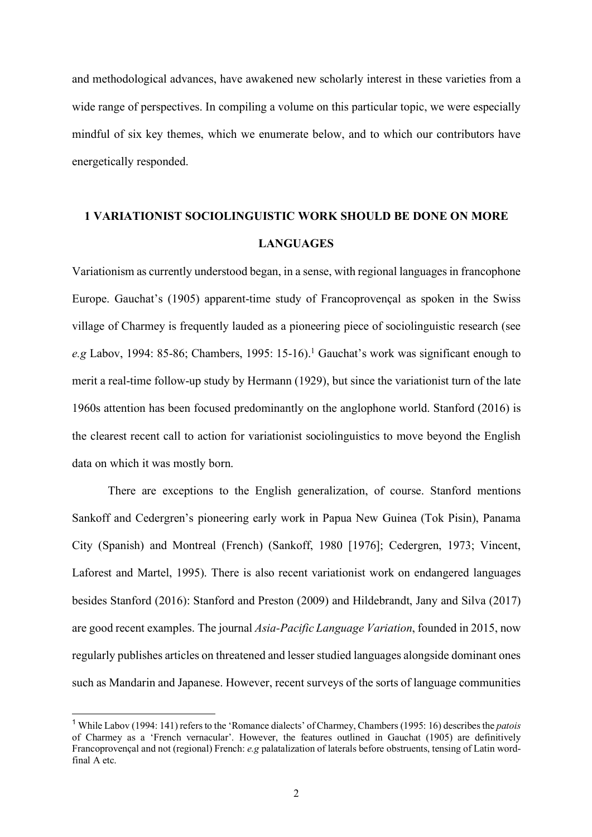and methodological advances, have awakened new scholarly interest in these varieties from a wide range of perspectives. In compiling a volume on this particular topic, we were especially mindful of six key themes, which we enumerate below, and to which our contributors have energetically responded.

## **1 VARIATIONIST SOCIOLINGUISTIC WORK SHOULD BE DONE ON MORE LANGUAGES**

Variationism as currently understood began, in a sense, with regional languages in francophone Europe. Gauchat's (1905) apparent-time study of Francoprovençal as spoken in the Swiss village of Charmey is frequently lauded as a pioneering piece of sociolinguistic research (see *e.g* Labov, 1994: 85-86; Chambers, 1995: 15-16).<sup>1</sup> Gauchat's work was significant enough to merit a real-time follow-up study by Hermann (1929), but since the variationist turn of the late 1960s attention has been focused predominantly on the anglophone world. Stanford (2016) is the clearest recent call to action for variationist sociolinguistics to move beyond the English data on which it was mostly born.

There are exceptions to the English generalization, of course. Stanford mentions Sankoff and Cedergren's pioneering early work in Papua New Guinea (Tok Pisin), Panama City (Spanish) and Montreal (French) (Sankoff, 1980 [1976]; Cedergren, 1973; Vincent, Laforest and Martel, 1995). There is also recent variationist work on endangered languages besides Stanford (2016): Stanford and Preston (2009) and Hildebrandt, Jany and Silva (2017) are good recent examples. The journal *Asia-Pacific Language Variation*, founded in 2015, now regularly publishes articles on threatened and lesser studied languages alongside dominant ones such as Mandarin and Japanese. However, recent surveys of the sorts of language communities

 <sup>1</sup> While Labov (1994: 141) refers to the 'Romance dialects' of Charmey, Chambers (1995: 16) describes the *patois* of Charmey as a 'French vernacular'. However, the features outlined in Gauchat (1905) are definitively Francoprovençal and not (regional) French: *e.g* palatalization of laterals before obstruents, tensing of Latin wordfinal A etc.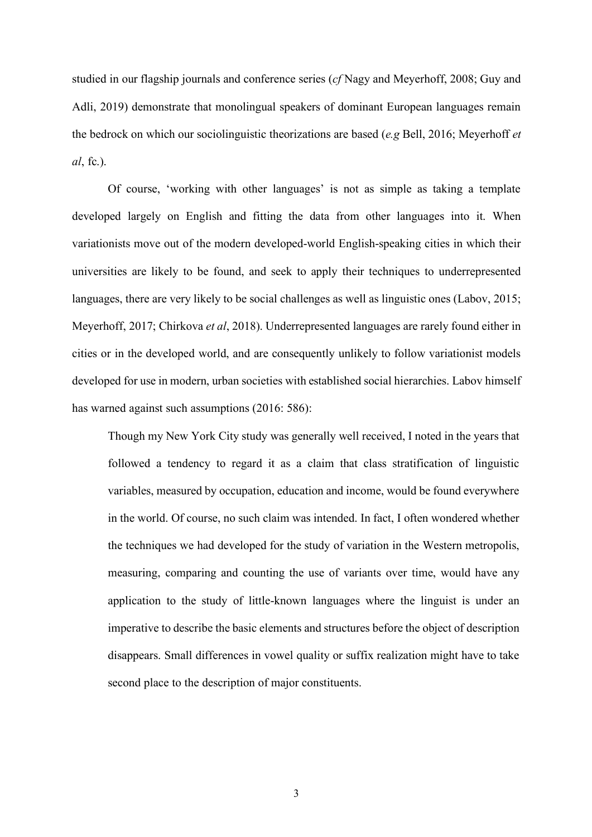studied in our flagship journals and conference series (*cf* Nagy and Meyerhoff, 2008; Guy and Adli, 2019) demonstrate that monolingual speakers of dominant European languages remain the bedrock on which our sociolinguistic theorizations are based (*e.g* Bell, 2016; Meyerhoff *et al*, fc.).

Of course, 'working with other languages' is not as simple as taking a template developed largely on English and fitting the data from other languages into it. When variationists move out of the modern developed-world English-speaking cities in which their universities are likely to be found, and seek to apply their techniques to underrepresented languages, there are very likely to be social challenges as well as linguistic ones (Labov, 2015; Meyerhoff, 2017; Chirkova *et al*, 2018). Underrepresented languages are rarely found either in cities or in the developed world, and are consequently unlikely to follow variationist models developed for use in modern, urban societies with established social hierarchies. Labov himself has warned against such assumptions (2016: 586):

Though my New York City study was generally well received, I noted in the years that followed a tendency to regard it as a claim that class stratification of linguistic variables, measured by occupation, education and income, would be found everywhere in the world. Of course, no such claim was intended. In fact, I often wondered whether the techniques we had developed for the study of variation in the Western metropolis, measuring, comparing and counting the use of variants over time, would have any application to the study of little-known languages where the linguist is under an imperative to describe the basic elements and structures before the object of description disappears. Small differences in vowel quality or suffix realization might have to take second place to the description of major constituents.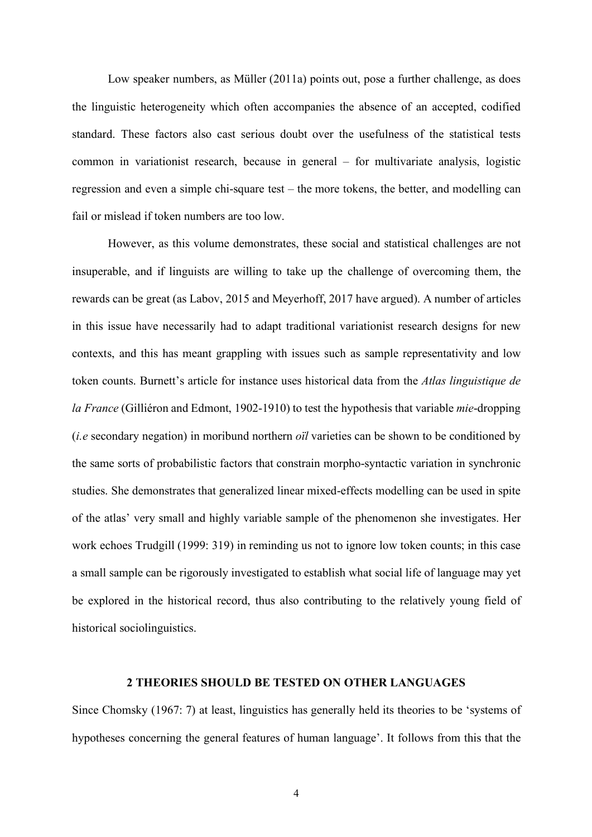Low speaker numbers, as Müller (2011a) points out, pose a further challenge, as does the linguistic heterogeneity which often accompanies the absence of an accepted, codified standard. These factors also cast serious doubt over the usefulness of the statistical tests common in variationist research, because in general – for multivariate analysis, logistic regression and even a simple chi-square test – the more tokens, the better, and modelling can fail or mislead if token numbers are too low.

However, as this volume demonstrates, these social and statistical challenges are not insuperable, and if linguists are willing to take up the challenge of overcoming them, the rewards can be great (as Labov, 2015 and Meyerhoff, 2017 have argued). A number of articles in this issue have necessarily had to adapt traditional variationist research designs for new contexts, and this has meant grappling with issues such as sample representativity and low token counts. Burnett's article for instance uses historical data from the *Atlas linguistique de la France* (Gilliéron and Edmont, 1902-1910) to test the hypothesis that variable *mie*-dropping (*i.e* secondary negation) in moribund northern *oïl* varieties can be shown to be conditioned by the same sorts of probabilistic factors that constrain morpho-syntactic variation in synchronic studies. She demonstrates that generalized linear mixed-effects modelling can be used in spite of the atlas' very small and highly variable sample of the phenomenon she investigates. Her work echoes Trudgill (1999: 319) in reminding us not to ignore low token counts; in this case a small sample can be rigorously investigated to establish what social life of language may yet be explored in the historical record, thus also contributing to the relatively young field of historical sociolinguistics.

#### **2 THEORIES SHOULD BE TESTED ON OTHER LANGUAGES**

Since Chomsky (1967: 7) at least, linguistics has generally held its theories to be 'systems of hypotheses concerning the general features of human language'. It follows from this that the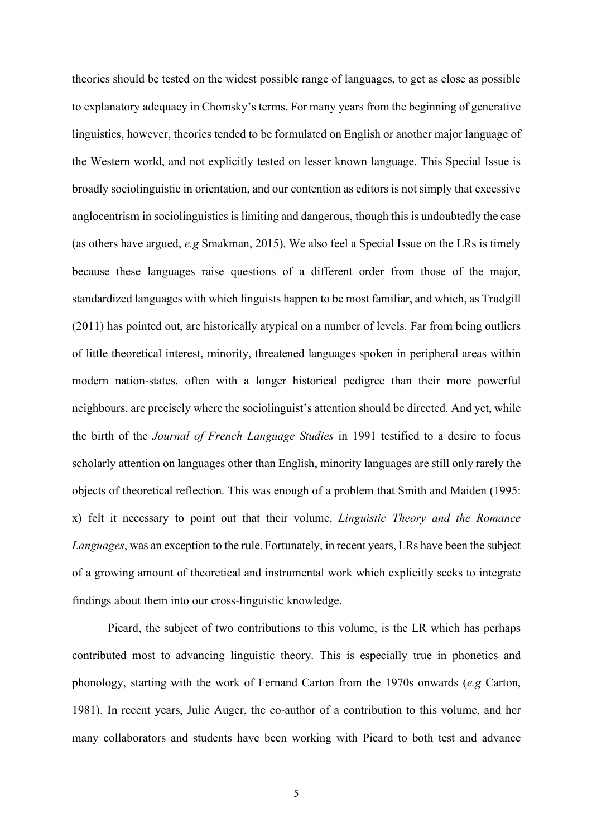theories should be tested on the widest possible range of languages, to get as close as possible to explanatory adequacy in Chomsky's terms. For many years from the beginning of generative linguistics, however, theories tended to be formulated on English or another major language of the Western world, and not explicitly tested on lesser known language. This Special Issue is broadly sociolinguistic in orientation, and our contention as editors is not simply that excessive anglocentrism in sociolinguistics is limiting and dangerous, though this is undoubtedly the case (as others have argued, *e.g* Smakman, 2015). We also feel a Special Issue on the LRs is timely because these languages raise questions of a different order from those of the major, standardized languages with which linguists happen to be most familiar, and which, as Trudgill (2011) has pointed out, are historically atypical on a number of levels. Far from being outliers of little theoretical interest, minority, threatened languages spoken in peripheral areas within modern nation-states, often with a longer historical pedigree than their more powerful neighbours, are precisely where the sociolinguist's attention should be directed. And yet, while the birth of the *Journal of French Language Studies* in 1991 testified to a desire to focus scholarly attention on languages other than English, minority languages are still only rarely the objects of theoretical reflection. This was enough of a problem that Smith and Maiden (1995: x) felt it necessary to point out that their volume, *Linguistic Theory and the Romance Languages*, was an exception to the rule. Fortunately, in recent years, LRs have been the subject of a growing amount of theoretical and instrumental work which explicitly seeks to integrate findings about them into our cross-linguistic knowledge.

 Picard, the subject of two contributions to this volume, is the LR which has perhaps contributed most to advancing linguistic theory. This is especially true in phonetics and phonology, starting with the work of Fernand Carton from the 1970s onwards (*e.g* Carton, 1981). In recent years, Julie Auger, the co-author of a contribution to this volume, and her many collaborators and students have been working with Picard to both test and advance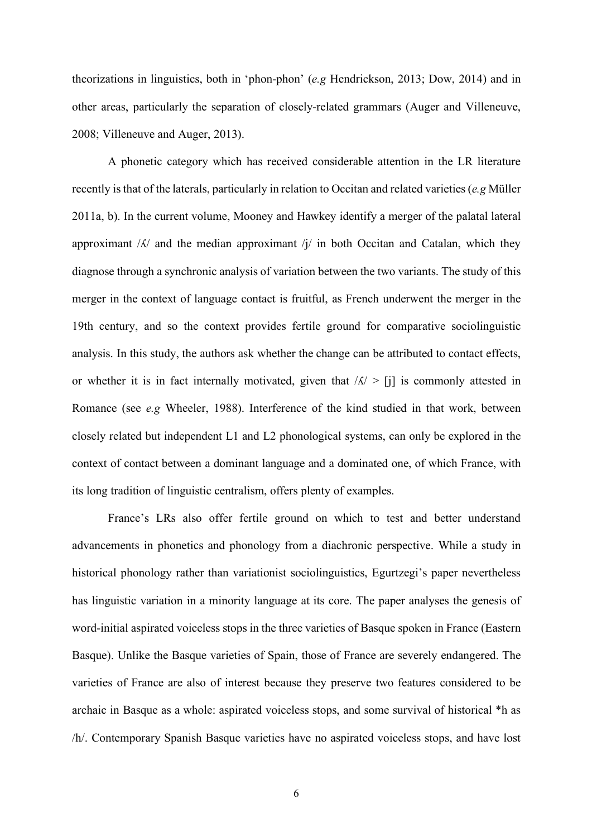theorizations in linguistics, both in 'phon-phon' (*e.g* Hendrickson, 2013; Dow, 2014) and in other areas, particularly the separation of closely-related grammars (Auger and Villeneuve, 2008; Villeneuve and Auger, 2013).

A phonetic category which has received considerable attention in the LR literature recently is that of the laterals, particularly in relation to Occitan and related varieties (*e.g* Müller 2011a, b). In the current volume, Mooney and Hawkey identify a merger of the palatal lateral approximant  $/K/$  and the median approximant  $/j/$  in both Occitan and Catalan, which they diagnose through a synchronic analysis of variation between the two variants. The study of this merger in the context of language contact is fruitful, as French underwent the merger in the 19th century, and so the context provides fertile ground for comparative sociolinguistic analysis. In this study, the authors ask whether the change can be attributed to contact effects, or whether it is in fact internally motivated, given that  $|\Lambda| > |i|$  is commonly attested in Romance (see *e.g* Wheeler, 1988). Interference of the kind studied in that work, between closely related but independent L1 and L2 phonological systems, can only be explored in the context of contact between a dominant language and a dominated one, of which France, with its long tradition of linguistic centralism, offers plenty of examples.

France's LRs also offer fertile ground on which to test and better understand advancements in phonetics and phonology from a diachronic perspective. While a study in historical phonology rather than variationist sociolinguistics, Egurtzegi's paper nevertheless has linguistic variation in a minority language at its core. The paper analyses the genesis of word-initial aspirated voiceless stops in the three varieties of Basque spoken in France (Eastern Basque). Unlike the Basque varieties of Spain, those of France are severely endangered. The varieties of France are also of interest because they preserve two features considered to be archaic in Basque as a whole: aspirated voiceless stops, and some survival of historical \*h as /h/. Contemporary Spanish Basque varieties have no aspirated voiceless stops, and have lost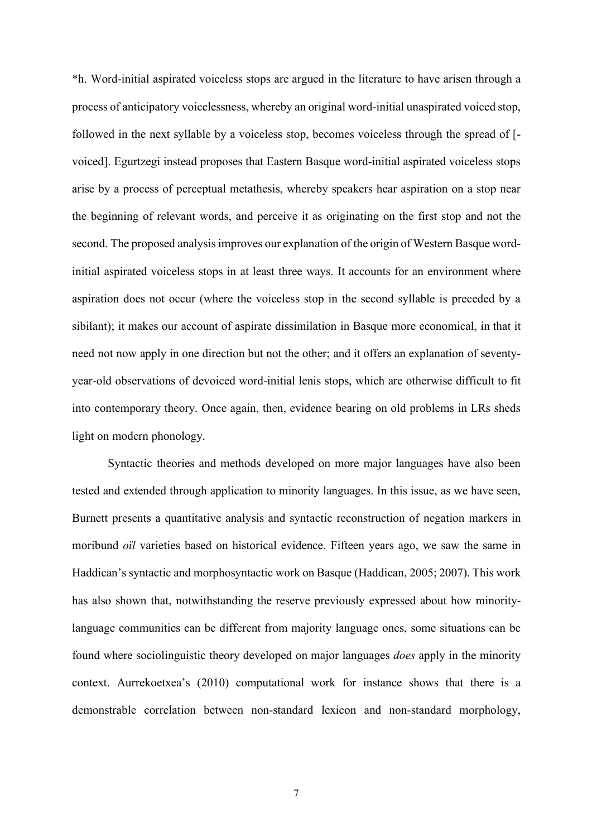\*h. Word-initial aspirated voiceless stops are argued in the literature to have arisen through a process of anticipatory voicelessness, whereby an original word-initial unaspirated voiced stop, followed in the next syllable by a voiceless stop, becomes voiceless through the spread of [ voiced]. Egurtzegi instead proposes that Eastern Basque word-initial aspirated voiceless stops arise by a process of perceptual metathesis, whereby speakers hear aspiration on a stop near the beginning of relevant words, and perceive it as originating on the first stop and not the second. The proposed analysis improves our explanation of the origin of Western Basque wordinitial aspirated voiceless stops in at least three ways. It accounts for an environment where aspiration does not occur (where the voiceless stop in the second syllable is preceded by a sibilant); it makes our account of aspirate dissimilation in Basque more economical, in that it need not now apply in one direction but not the other; and it offers an explanation of seventyyear-old observations of devoiced word-initial lenis stops, which are otherwise difficult to fit into contemporary theory. Once again, then, evidence bearing on old problems in LRs sheds light on modern phonology.

Syntactic theories and methods developed on more major languages have also been tested and extended through application to minority languages. In this issue, as we have seen, Burnett presents a quantitative analysis and syntactic reconstruction of negation markers in moribund *oïl* varieties based on historical evidence. Fifteen years ago, we saw the same in Haddican's syntactic and morphosyntactic work on Basque (Haddican, 2005; 2007). This work has also shown that, notwithstanding the reserve previously expressed about how minoritylanguage communities can be different from majority language ones, some situations can be found where sociolinguistic theory developed on major languages *does* apply in the minority context. Aurrekoetxea's (2010) computational work for instance shows that there is a demonstrable correlation between non-standard lexicon and non-standard morphology,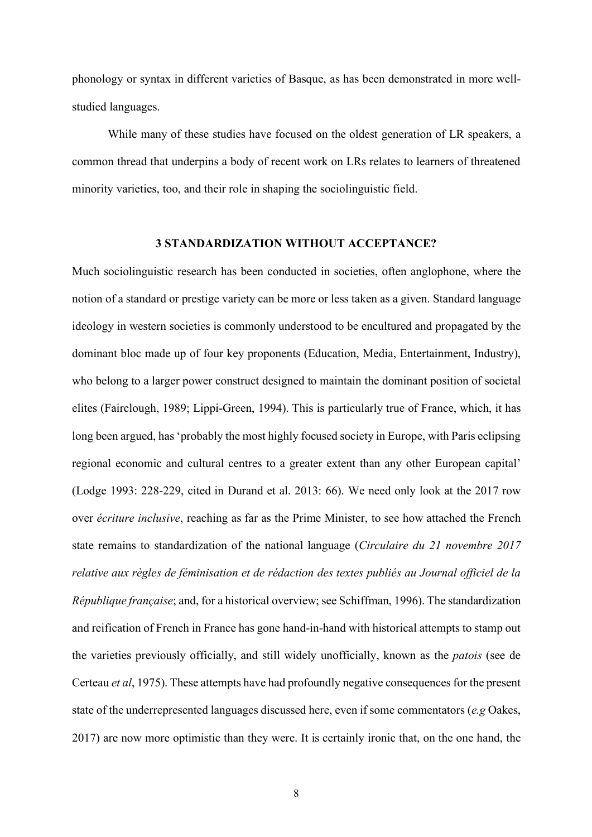phonology or syntax in different varieties of Basque, as has been demonstrated in more wellstudied languages.

While many of these studies have focused on the oldest generation of LR speakers, a common thread that underpins a body of recent work on LRs relates to learners of threatened minority varieties, too, and their role in shaping the sociolinguistic field.

#### **3 STANDARDIZATION WITHOUT ACCEPTANCE?**

Much sociolinguistic research has been conducted in societies, often anglophone, where the notion of a standard or prestige variety can be more or less taken as a given. Standard language ideology in western societies is commonly understood to be encultured and propagated by the dominant bloc made up of four key proponents (Education, Media, Entertainment, Industry), who belong to a larger power construct designed to maintain the dominant position of societal elites (Fairclough, 1989; Lippi-Green, 1994). This is particularly true of France, which, it has long been argued, has 'probably the most highly focused society in Europe, with Paris eclipsing regional economic and cultural centres to a greater extent than any other European capital' (Lodge 1993: 228-229, cited in Durand et al. 2013: 66). We need only look at the 2017 row over *écriture inclusive*, reaching as far as the Prime Minister, to see how attached the French state remains to standardization of the national language (*Circulaire du 21 novembre 2017 relative aux règles de féminisation et de rédaction des textes publiés au Journal officiel de la République française*; and, for a historical overview; see Schiffman, 1996). The standardization and reification of French in France has gone hand-in-hand with historical attempts to stamp out the varieties previously officially, and still widely unofficially, known as the *patois* (see de Certeau *et al*, 1975). These attempts have had profoundly negative consequences for the present state of the underrepresented languages discussed here, even if some commentators (*e.g* Oakes, 2017) are now more optimistic than they were. It is certainly ironic that, on the one hand, the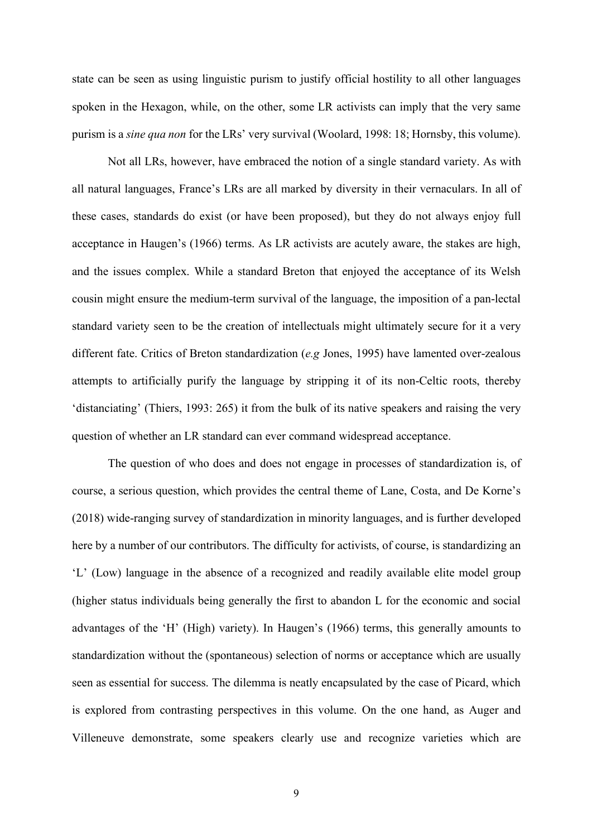state can be seen as using linguistic purism to justify official hostility to all other languages spoken in the Hexagon, while, on the other, some LR activists can imply that the very same purism is a *sine qua non* for the LRs' very survival (Woolard, 1998: 18; Hornsby, this volume).

Not all LRs, however, have embraced the notion of a single standard variety. As with all natural languages, France's LRs are all marked by diversity in their vernaculars. In all of these cases, standards do exist (or have been proposed), but they do not always enjoy full acceptance in Haugen's (1966) terms. As LR activists are acutely aware, the stakes are high, and the issues complex. While a standard Breton that enjoyed the acceptance of its Welsh cousin might ensure the medium-term survival of the language, the imposition of a pan-lectal standard variety seen to be the creation of intellectuals might ultimately secure for it a very different fate. Critics of Breton standardization (*e.g* Jones, 1995) have lamented over-zealous attempts to artificially purify the language by stripping it of its non-Celtic roots, thereby 'distanciating' (Thiers, 1993: 265) it from the bulk of its native speakers and raising the very question of whether an LR standard can ever command widespread acceptance.

The question of who does and does not engage in processes of standardization is, of course, a serious question, which provides the central theme of Lane, Costa, and De Korne's (2018) wide-ranging survey of standardization in minority languages, and is further developed here by a number of our contributors. The difficulty for activists, of course, is standardizing an 'L' (Low) language in the absence of a recognized and readily available elite model group (higher status individuals being generally the first to abandon L for the economic and social advantages of the 'H' (High) variety). In Haugen's (1966) terms, this generally amounts to standardization without the (spontaneous) selection of norms or acceptance which are usually seen as essential for success. The dilemma is neatly encapsulated by the case of Picard, which is explored from contrasting perspectives in this volume. On the one hand, as Auger and Villeneuve demonstrate, some speakers clearly use and recognize varieties which are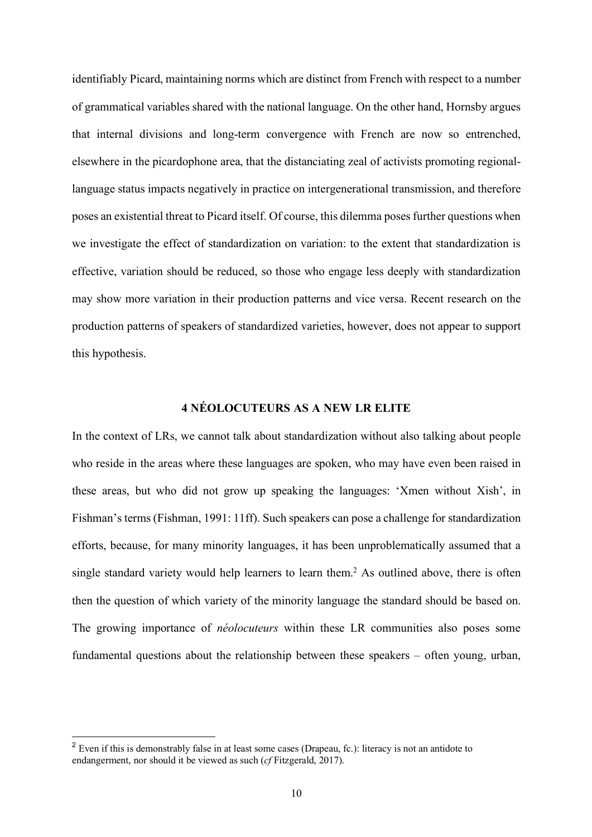identifiably Picard, maintaining norms which are distinct from French with respect to a number of grammatical variables shared with the national language. On the other hand, Hornsby argues that internal divisions and long-term convergence with French are now so entrenched, elsewhere in the picardophone area, that the distanciating zeal of activists promoting regionallanguage status impacts negatively in practice on intergenerational transmission, and therefore poses an existential threat to Picard itself. Of course, this dilemma poses further questions when we investigate the effect of standardization on variation: to the extent that standardization is effective, variation should be reduced, so those who engage less deeply with standardization may show more variation in their production patterns and vice versa. Recent research on the production patterns of speakers of standardized varieties, however, does not appear to support this hypothesis.

#### **4 NÉOLOCUTEURS AS A NEW LR ELITE**

In the context of LRs, we cannot talk about standardization without also talking about people who reside in the areas where these languages are spoken, who may have even been raised in these areas, but who did not grow up speaking the languages: 'Xmen without Xish', in Fishman's terms (Fishman, 1991: 11ff). Such speakers can pose a challenge for standardization efforts, because, for many minority languages, it has been unproblematically assumed that a single standard variety would help learners to learn them.<sup>2</sup> As outlined above, there is often then the question of which variety of the minority language the standard should be based on. The growing importance of *néolocuteurs* within these LR communities also poses some fundamental questions about the relationship between these speakers – often young, urban,

<sup>&</sup>lt;sup>2</sup> Even if this is demonstrably false in at least some cases (Drapeau, fc.): literacy is not an antidote to endangerment, nor should it be viewed as such (*cf* Fitzgerald, 2017).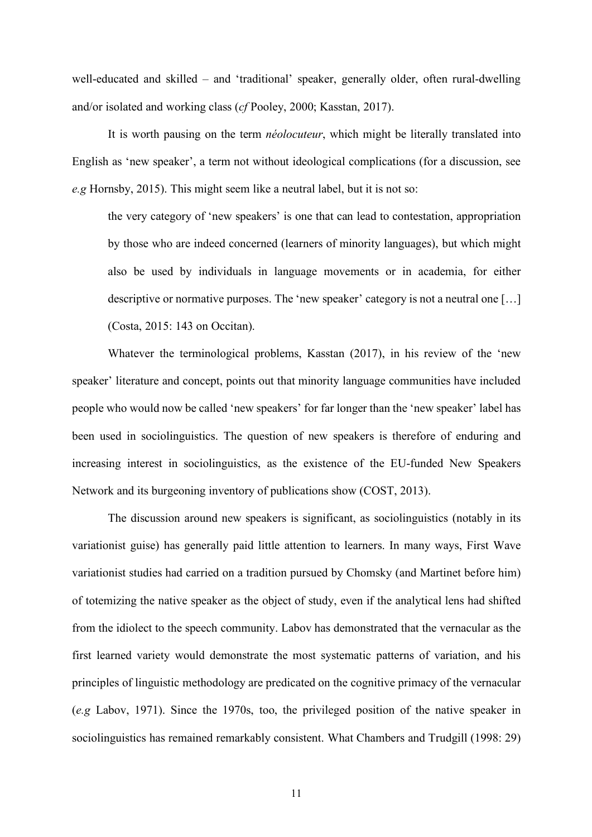well-educated and skilled – and 'traditional' speaker, generally older, often rural-dwelling and/or isolated and working class (*cf* Pooley, 2000; Kasstan, 2017).

It is worth pausing on the term *néolocuteur*, which might be literally translated into English as 'new speaker', a term not without ideological complications (for a discussion, see *e.g* Hornsby, 2015). This might seem like a neutral label, but it is not so:

the very category of 'new speakers' is one that can lead to contestation, appropriation by those who are indeed concerned (learners of minority languages), but which might also be used by individuals in language movements or in academia, for either descriptive or normative purposes. The 'new speaker' category is not a neutral one […] (Costa, 2015: 143 on Occitan).

Whatever the terminological problems, Kasstan (2017), in his review of the 'new speaker' literature and concept, points out that minority language communities have included people who would now be called 'new speakers' for far longer than the 'new speaker' label has been used in sociolinguistics. The question of new speakers is therefore of enduring and increasing interest in sociolinguistics, as the existence of the EU-funded New Speakers Network and its burgeoning inventory of publications show (COST, 2013).

The discussion around new speakers is significant, as sociolinguistics (notably in its variationist guise) has generally paid little attention to learners. In many ways, First Wave variationist studies had carried on a tradition pursued by Chomsky (and Martinet before him) of totemizing the native speaker as the object of study, even if the analytical lens had shifted from the idiolect to the speech community. Labov has demonstrated that the vernacular as the first learned variety would demonstrate the most systematic patterns of variation, and his principles of linguistic methodology are predicated on the cognitive primacy of the vernacular (*e.g* Labov, 1971). Since the 1970s, too, the privileged position of the native speaker in sociolinguistics has remained remarkably consistent. What Chambers and Trudgill (1998: 29)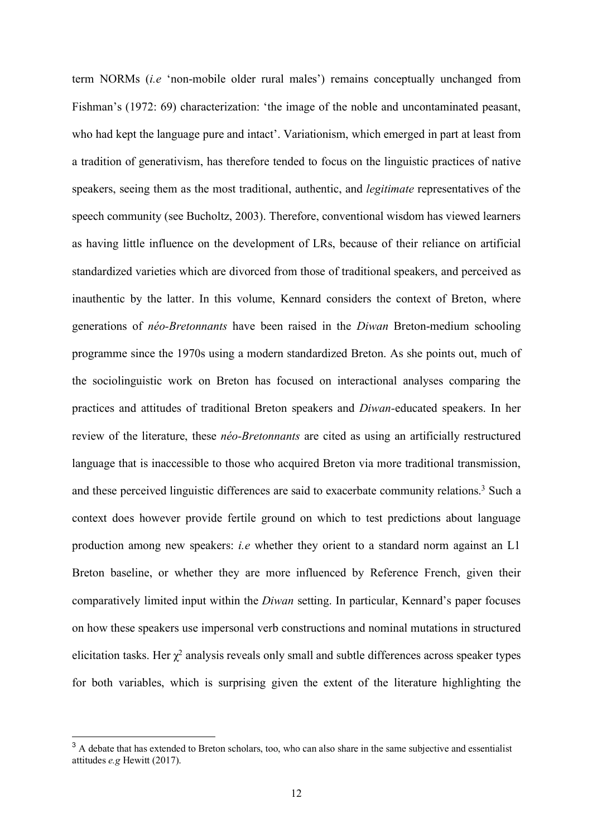term NORMs (*i.e* 'non-mobile older rural males') remains conceptually unchanged from Fishman's (1972: 69) characterization: 'the image of the noble and uncontaminated peasant, who had kept the language pure and intact'. Variationism, which emerged in part at least from a tradition of generativism, has therefore tended to focus on the linguistic practices of native speakers, seeing them as the most traditional, authentic, and *legitimate* representatives of the speech community (see Bucholtz, 2003). Therefore, conventional wisdom has viewed learners as having little influence on the development of LRs, because of their reliance on artificial standardized varieties which are divorced from those of traditional speakers, and perceived as inauthentic by the latter. In this volume, Kennard considers the context of Breton, where generations of *néo-Bretonnants* have been raised in the *Diwan* Breton-medium schooling programme since the 1970s using a modern standardized Breton. As she points out, much of the sociolinguistic work on Breton has focused on interactional analyses comparing the practices and attitudes of traditional Breton speakers and *Diwan-*educated speakers. In her review of the literature, these *néo-Bretonnants* are cited as using an artificially restructured language that is inaccessible to those who acquired Breton via more traditional transmission, and these perceived linguistic differences are said to exacerbate community relations.<sup>3</sup> Such a context does however provide fertile ground on which to test predictions about language production among new speakers: *i.e* whether they orient to a standard norm against an L1 Breton baseline, or whether they are more influenced by Reference French, given their comparatively limited input within the *Diwan* setting. In particular, Kennard's paper focuses on how these speakers use impersonal verb constructions and nominal mutations in structured elicitation tasks. Her  $\chi^2$  analysis reveals only small and subtle differences across speaker types for both variables, which is surprising given the extent of the literature highlighting the

<sup>&</sup>lt;sup>3</sup> A debate that has extended to Breton scholars, too, who can also share in the same subjective and essentialist attitudes *e.g* Hewitt (2017).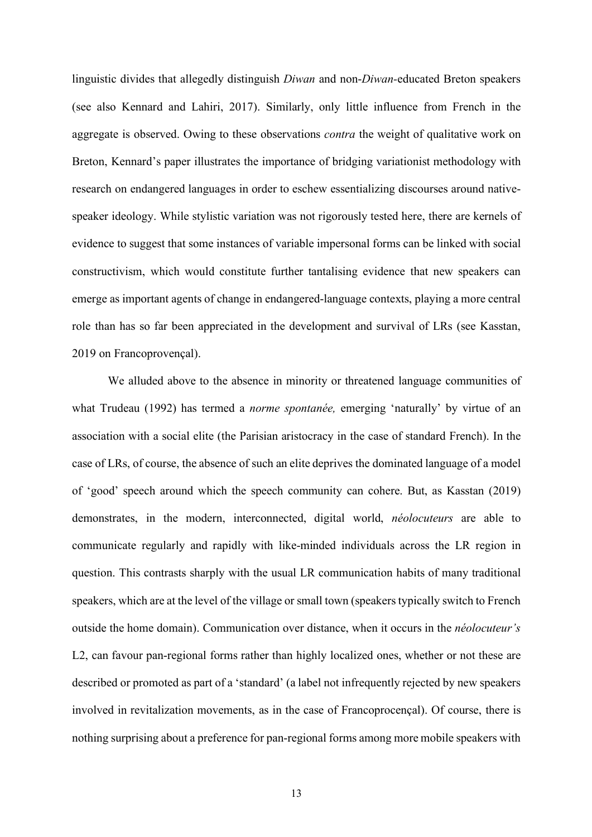linguistic divides that allegedly distinguish *Diwan* and non-*Diwan-*educated Breton speakers (see also Kennard and Lahiri, 2017). Similarly, only little influence from French in the aggregate is observed. Owing to these observations *contra* the weight of qualitative work on Breton, Kennard's paper illustrates the importance of bridging variationist methodology with research on endangered languages in order to eschew essentializing discourses around nativespeaker ideology. While stylistic variation was not rigorously tested here, there are kernels of evidence to suggest that some instances of variable impersonal forms can be linked with social constructivism, which would constitute further tantalising evidence that new speakers can emerge as important agents of change in endangered-language contexts, playing a more central role than has so far been appreciated in the development and survival of LRs (see Kasstan, 2019 on Francoprovençal).

We alluded above to the absence in minority or threatened language communities of what Trudeau (1992) has termed a *norme spontanée,* emerging 'naturally' by virtue of an association with a social elite (the Parisian aristocracy in the case of standard French). In the case of LRs, of course, the absence of such an elite deprives the dominated language of a model of 'good' speech around which the speech community can cohere. But, as Kasstan (2019) demonstrates, in the modern, interconnected, digital world, *néolocuteurs* are able to communicate regularly and rapidly with like-minded individuals across the LR region in question. This contrasts sharply with the usual LR communication habits of many traditional speakers, which are at the level of the village or small town (speakers typically switch to French outside the home domain). Communication over distance, when it occurs in the *néolocuteur's* L2, can favour pan-regional forms rather than highly localized ones, whether or not these are described or promoted as part of a 'standard' (a label not infrequently rejected by new speakers involved in revitalization movements, as in the case of Francoprocençal). Of course, there is nothing surprising about a preference for pan-regional forms among more mobile speakers with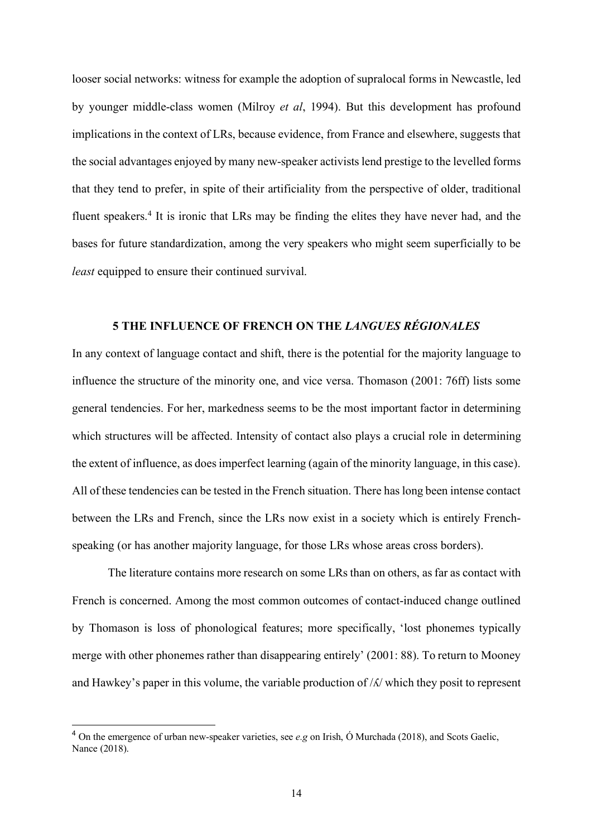looser social networks: witness for example the adoption of supralocal forms in Newcastle, led by younger middle-class women (Milroy *et al*, 1994). But this development has profound implications in the context of LRs, because evidence, from France and elsewhere, suggests that the social advantages enjoyed by many new-speaker activists lend prestige to the levelled forms that they tend to prefer, in spite of their artificiality from the perspective of older, traditional fluent speakers.4 It is ironic that LRs may be finding the elites they have never had, and the bases for future standardization, among the very speakers who might seem superficially to be *least* equipped to ensure their continued survival.

#### **5 THE INFLUENCE OF FRENCH ON THE** *LANGUES RÉGIONALES*

In any context of language contact and shift, there is the potential for the majority language to influence the structure of the minority one, and vice versa. Thomason (2001: 76ff) lists some general tendencies. For her, markedness seems to be the most important factor in determining which structures will be affected. Intensity of contact also plays a crucial role in determining the extent of influence, as does imperfect learning (again of the minority language, in this case). All of these tendencies can be tested in the French situation. There has long been intense contact between the LRs and French, since the LRs now exist in a society which is entirely Frenchspeaking (or has another majority language, for those LRs whose areas cross borders).

The literature contains more research on some LRs than on others, as far as contact with French is concerned. Among the most common outcomes of contact-induced change outlined by Thomason is loss of phonological features; more specifically, 'lost phonemes typically merge with other phonemes rather than disappearing entirely' (2001: 88). To return to Mooney and Hawkey's paper in this volume, the variable production of /ʎ/ which they posit to represent

 <sup>4</sup> On the emergence of urban new-speaker varieties, see *e.g* on Irish, Ó Murchada (2018), and Scots Gaelic, Nance (2018).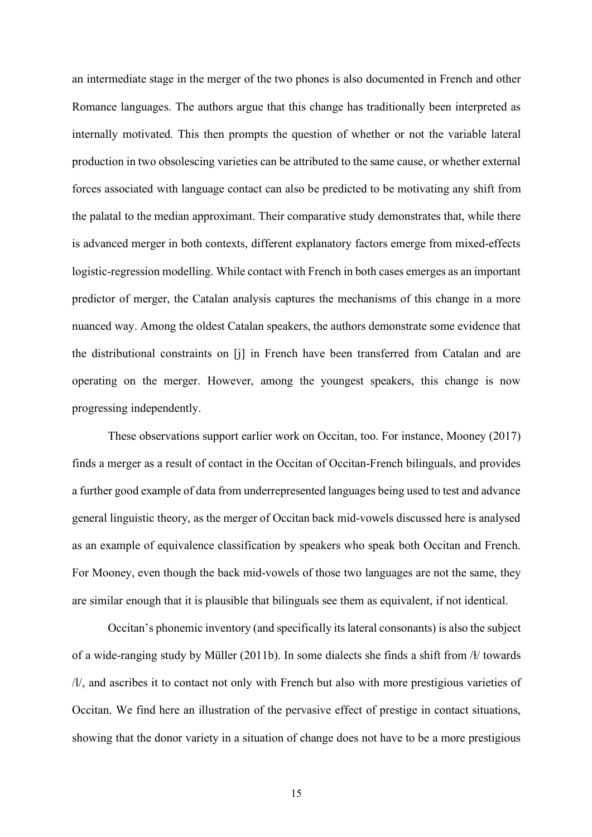an intermediate stage in the merger of the two phones is also documented in French and other Romance languages. The authors argue that this change has traditionally been interpreted as internally motivated. This then prompts the question of whether or not the variable lateral production in two obsolescing varieties can be attributed to the same cause, or whether external forces associated with language contact can also be predicted to be motivating any shift from the palatal to the median approximant. Their comparative study demonstrates that, while there is advanced merger in both contexts, different explanatory factors emerge from mixed-effects logistic-regression modelling. While contact with French in both cases emerges as an important predictor of merger, the Catalan analysis captures the mechanisms of this change in a more nuanced way. Among the oldest Catalan speakers, the authors demonstrate some evidence that the distributional constraints on [j] in French have been transferred from Catalan and are operating on the merger. However, among the youngest speakers, this change is now progressing independently.

These observations support earlier work on Occitan, too. For instance, Mooney (2017) finds a merger as a result of contact in the Occitan of Occitan-French bilinguals, and provides a further good example of data from underrepresented languages being used to test and advance general linguistic theory, as the merger of Occitan back mid-vowels discussed here is analysed as an example of equivalence classification by speakers who speak both Occitan and French. For Mooney, even though the back mid-vowels of those two languages are not the same, they are similar enough that it is plausible that bilinguals see them as equivalent, if not identical.

Occitan's phonemic inventory (and specifically its lateral consonants) is also the subject of a wide-ranging study by Müller (2011b). In some dialects she finds a shift from /ł/ towards /l/, and ascribes it to contact not only with French but also with more prestigious varieties of Occitan. We find here an illustration of the pervasive effect of prestige in contact situations, showing that the donor variety in a situation of change does not have to be a more prestigious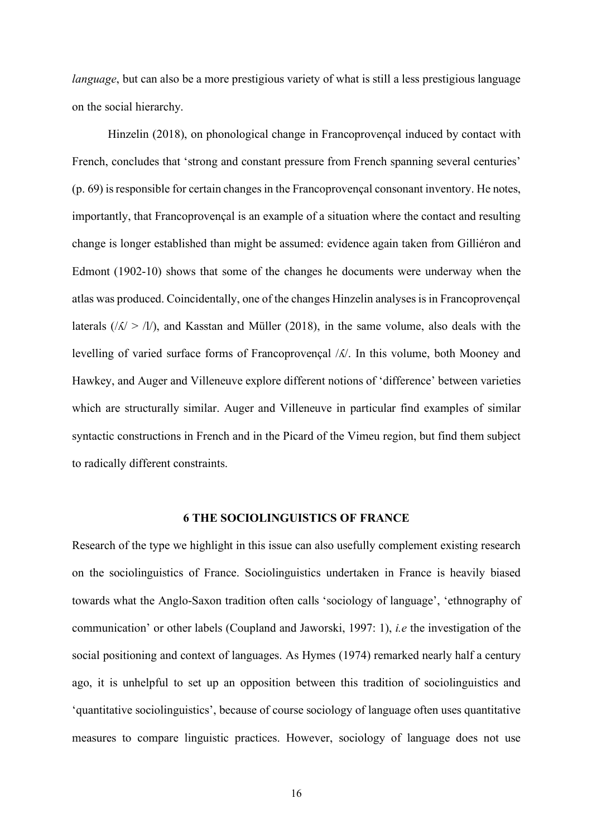*language*, but can also be a more prestigious variety of what is still a less prestigious language on the social hierarchy.

Hinzelin (2018), on phonological change in Francoprovençal induced by contact with French, concludes that 'strong and constant pressure from French spanning several centuries' (p. 69) is responsible for certain changes in the Francoprovençal consonant inventory. He notes, importantly, that Francoprovençal is an example of a situation where the contact and resulting change is longer established than might be assumed: evidence again taken from Gilliéron and Edmont (1902-10) shows that some of the changes he documents were underway when the atlas was produced. Coincidentally, one of the changes Hinzelin analyses is in Francoprovençal laterals  $(\sqrt{\xi}) > 1$ , and Kasstan and Müller (2018), in the same volume, also deals with the levelling of varied surface forms of Francoprovençal /ʎ/. In this volume, both Mooney and Hawkey, and Auger and Villeneuve explore different notions of 'difference' between varieties which are structurally similar. Auger and Villeneuve in particular find examples of similar syntactic constructions in French and in the Picard of the Vimeu region, but find them subject to radically different constraints.

#### **6 THE SOCIOLINGUISTICS OF FRANCE**

Research of the type we highlight in this issue can also usefully complement existing research on the sociolinguistics of France. Sociolinguistics undertaken in France is heavily biased towards what the Anglo-Saxon tradition often calls 'sociology of language', 'ethnography of communication' or other labels (Coupland and Jaworski, 1997: 1), *i.e* the investigation of the social positioning and context of languages. As Hymes (1974) remarked nearly half a century ago, it is unhelpful to set up an opposition between this tradition of sociolinguistics and 'quantitative sociolinguistics', because of course sociology of language often uses quantitative measures to compare linguistic practices. However, sociology of language does not use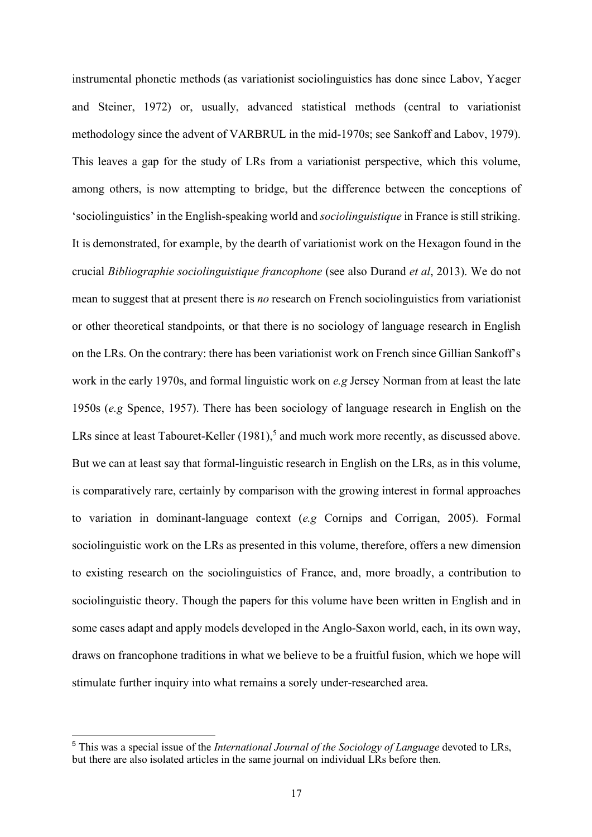instrumental phonetic methods (as variationist sociolinguistics has done since Labov, Yaeger and Steiner, 1972) or, usually, advanced statistical methods (central to variationist methodology since the advent of VARBRUL in the mid-1970s; see Sankoff and Labov, 1979). This leaves a gap for the study of LRs from a variationist perspective, which this volume, among others, is now attempting to bridge, but the difference between the conceptions of 'sociolinguistics' in the English-speaking world and *sociolinguistique* in France is still striking. It is demonstrated, for example, by the dearth of variationist work on the Hexagon found in the crucial *Bibliographie sociolinguistique francophone* (see also Durand *et al*, 2013). We do not mean to suggest that at present there is *no* research on French sociolinguistics from variationist or other theoretical standpoints, or that there is no sociology of language research in English on the LRs. On the contrary: there has been variationist work on French since Gillian Sankoff's work in the early 1970s, and formal linguistic work on *e.g* Jersey Norman from at least the late 1950s (*e.g* Spence, 1957). There has been sociology of language research in English on the LRs since at least Tabouret-Keller (1981),<sup>5</sup> and much work more recently, as discussed above. But we can at least say that formal-linguistic research in English on the LRs, as in this volume, is comparatively rare, certainly by comparison with the growing interest in formal approaches to variation in dominant-language context (*e.g* Cornips and Corrigan, 2005). Formal sociolinguistic work on the LRs as presented in this volume, therefore, offers a new dimension to existing research on the sociolinguistics of France, and, more broadly, a contribution to sociolinguistic theory. Though the papers for this volume have been written in English and in some cases adapt and apply models developed in the Anglo-Saxon world, each, in its own way, draws on francophone traditions in what we believe to be a fruitful fusion, which we hope will stimulate further inquiry into what remains a sorely under-researched area.

 <sup>5</sup> This was a special issue of the *International Journal of the Sociology of Language* devoted to LRs, but there are also isolated articles in the same journal on individual LRs before then.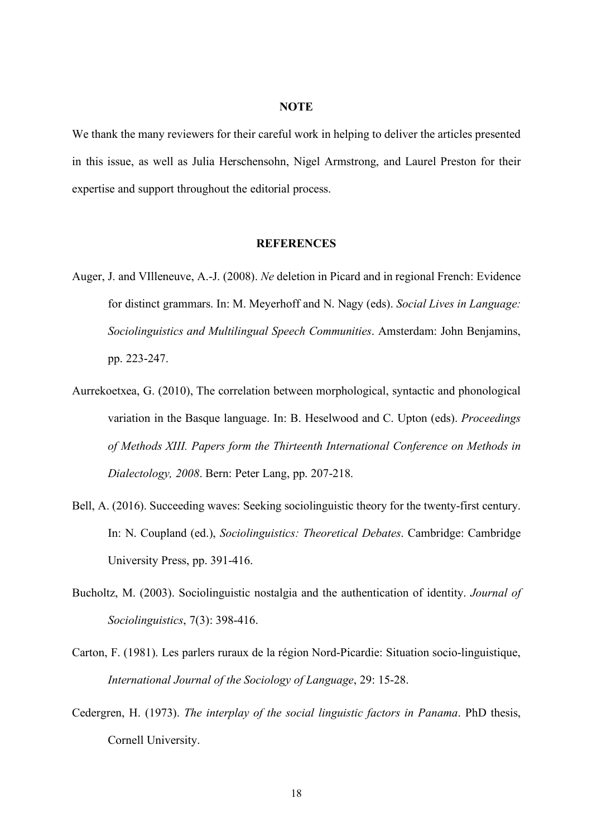#### **NOTE**

We thank the many reviewers for their careful work in helping to deliver the articles presented in this issue, as well as Julia Herschensohn, Nigel Armstrong, and Laurel Preston for their expertise and support throughout the editorial process.

#### **REFERENCES**

- Auger, J. and VIlleneuve, A.-J. (2008). *Ne* deletion in Picard and in regional French: Evidence for distinct grammars. In: M. Meyerhoff and N. Nagy (eds). *Social Lives in Language: Sociolinguistics and Multilingual Speech Communities*. Amsterdam: John Benjamins, pp. 223-247.
- Aurrekoetxea, G. (2010), The correlation between morphological, syntactic and phonological variation in the Basque language. In: B. Heselwood and C. Upton (eds). *Proceedings of Methods XIII. Papers form the Thirteenth International Conference on Methods in Dialectology, 2008*. Bern: Peter Lang, pp. 207-218.
- Bell, A. (2016). Succeeding waves: Seeking sociolinguistic theory for the twenty-first century. In: N. Coupland (ed.), *Sociolinguistics: Theoretical Debates*. Cambridge: Cambridge University Press, pp. 391-416.
- Bucholtz, M. (2003). Sociolinguistic nostalgia and the authentication of identity. *Journal of Sociolinguistics*, 7(3): 398-416.
- Carton, F. (1981). Les parlers ruraux de la région Nord-Picardie: Situation socio-linguistique, *International Journal of the Sociology of Language*, 29: 15-28.
- Cedergren, H. (1973). *The interplay of the social linguistic factors in Panama*. PhD thesis, Cornell University.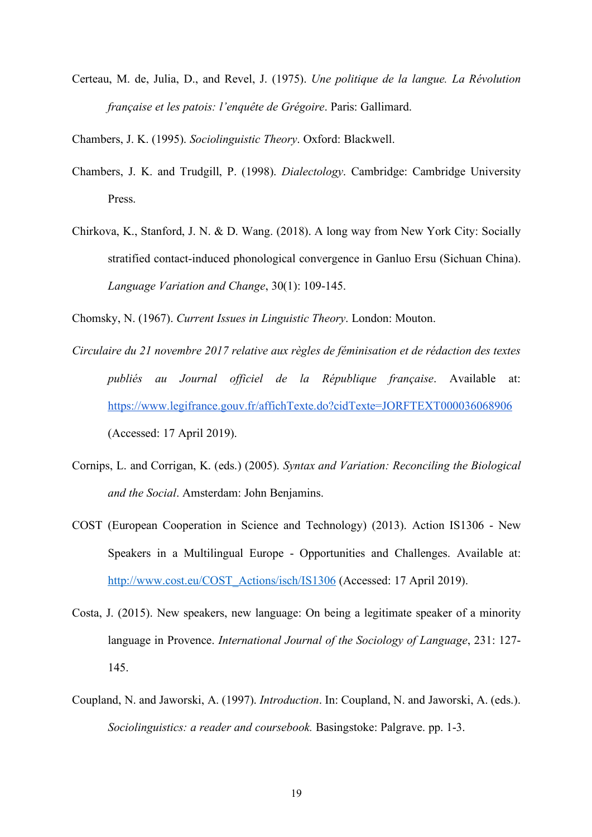Certeau, M. de, Julia, D., and Revel, J. (1975). *Une politique de la langue. La Révolution française et les patois: l'enquête de Grégoire*. Paris: Gallimard.

Chambers, J. K. (1995). *Sociolinguistic Theory*. Oxford: Blackwell.

- Chambers, J. K. and Trudgill, P. (1998). *Dialectology*. Cambridge: Cambridge University Press.
- Chirkova, K., Stanford, J. N. & D. Wang. (2018). A long way from New York City: Socially stratified contact-induced phonological convergence in Ganluo Ersu (Sichuan China). *Language Variation and Change*, 30(1): 109-145.

Chomsky, N. (1967). *Current Issues in Linguistic Theory*. London: Mouton.

- *Circulaire du 21 novembre 2017 relative aux règles de féminisation et de rédaction des textes publiés au Journal officiel de la République française*. Available at: https://www.legifrance.gouv.fr/affichTexte.do?cidTexte=JORFTEXT000036068906 (Accessed: 17 April 2019).
- Cornips, L. and Corrigan, K. (eds.) (2005). *Syntax and Variation: Reconciling the Biological and the Social*. Amsterdam: John Benjamins.
- COST (European Cooperation in Science and Technology) (2013). Action IS1306 New Speakers in a Multilingual Europe - Opportunities and Challenges. Available at: http://www.cost.eu/COST\_Actions/isch/IS1306 (Accessed: 17 April 2019).
- Costa, J. (2015). New speakers, new language: On being a legitimate speaker of a minority language in Provence. *International Journal of the Sociology of Language*, 231: 127- 145.
- Coupland, N. and Jaworski, A. (1997). *Introduction*. In: Coupland, N. and Jaworski, A. (eds.). *Sociolinguistics: a reader and coursebook.* Basingstoke: Palgrave. pp. 1-3.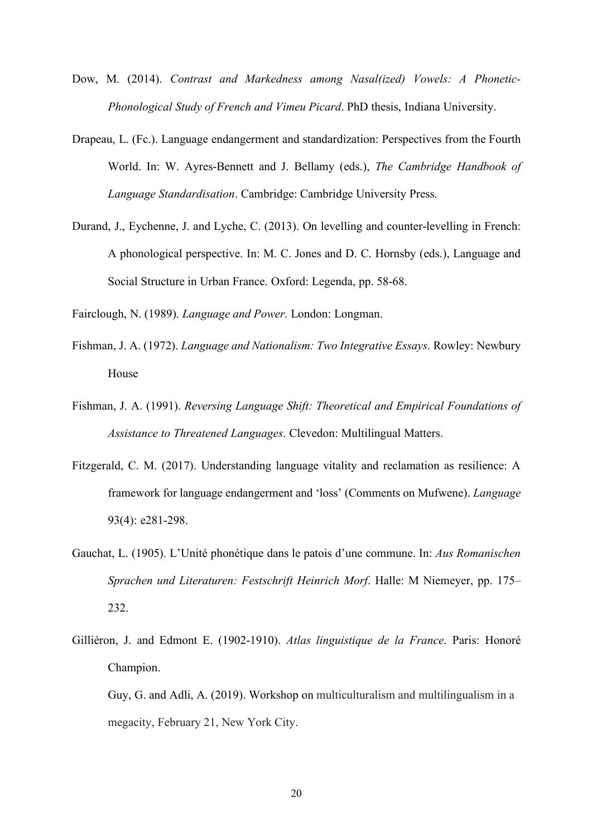- Dow, M. (2014). *Contrast and Markedness among Nasal(ized) Vowels: A Phonetic-Phonological Study of French and Vimeu Picard*. PhD thesis, Indiana University.
- Drapeau, L. (Fc.). Language endangerment and standardization: Perspectives from the Fourth World. In: W. Ayres-Bennett and J. Bellamy (eds.), *The Cambridge Handbook of Language Standardisation*. Cambridge: Cambridge University Press.
- Durand, J., Eychenne, J. and Lyche, C. (2013). On levelling and counter-levelling in French: A phonological perspective. In: M. C. Jones and D. C. Hornsby (eds.), Language and Social Structure in Urban France. Oxford: Legenda, pp. 58-68.
- Fairclough, N. (1989). *Language and Power*. London: Longman.
- Fishman, J. A. (1972). *Language and Nationalism: Two Integrative Essays*. Rowley: Newbury House
- Fishman, J. A. (1991). *Reversing Language Shift: Theoretical and Empirical Foundations of Assistance to Threatened Languages*. Clevedon: Multilingual Matters.
- Fitzgerald, C. M. (2017). Understanding language vitality and reclamation as resilience: A framework for language endangerment and 'loss' (Comments on Mufwene). *Language* 93(4): e281-298.
- Gauchat, L. (1905). L'Unité phonétique dans le patois d'une commune. In: *Aus Romanischen Sprachen und Literaturen: Festschrift Heinrich Morf*. Halle: M Niemeyer, pp. 175– 232.
- Gilliéron, J. and Edmont E. (1902-1910). *Atlas linguistique de la France*. Paris: Honoré Champion.

Guy, G. and Adli, A. (2019). Workshop on multiculturalism and multilingualism in a megacity, February 21, New York City.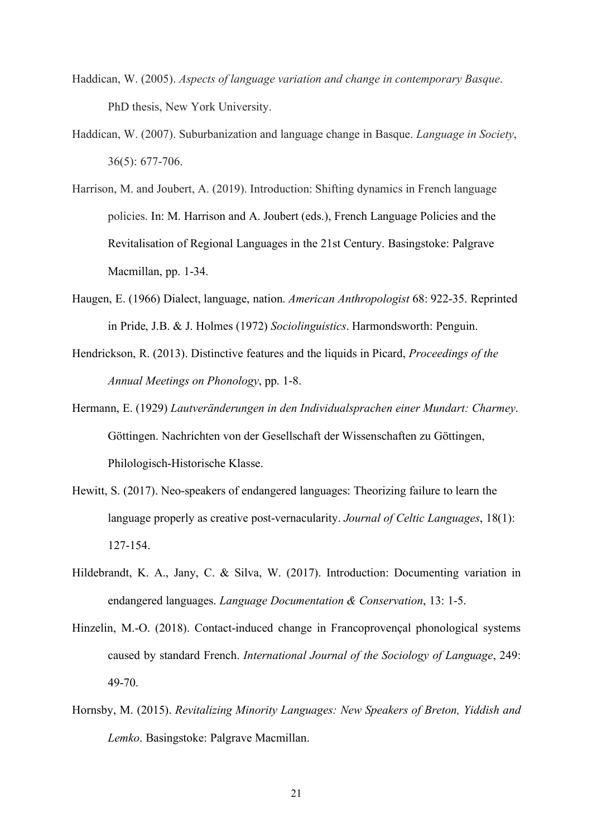- Haddican, W. (2005). *Aspects of language variation and change in contemporary Basque*. PhD thesis, New York University.
- Haddican, W. (2007). Suburbanization and language change in Basque. *Language in Society*, 36(5): 677-706.
- Harrison, M. and Joubert, A. (2019). Introduction: Shifting dynamics in French language policies. In: M. Harrison and A. Joubert (eds.), French Language Policies and the Revitalisation of Regional Languages in the 21st Century. Basingstoke: Palgrave Macmillan, pp. 1-34.
- Haugen, E. (1966) Dialect, language, nation. *American Anthropologist* 68: 922-35. Reprinted in Pride, J.B. & J. Holmes (1972) *Sociolinguistics*. Harmondsworth: Penguin.
- Hendrickson, R. (2013). Distinctive features and the liquids in Picard, *Proceedings of the Annual Meetings on Phonology*, pp. 1-8.
- Hermann, E. (1929) *Lautveränderungen in den Individualsprachen einer Mundart: Charmey*. Göttingen. Nachrichten von der Gesellschaft der Wissenschaften zu Göttingen, Philologisch-Historische Klasse.
- Hewitt, S. (2017). Neo-speakers of endangered languages: Theorizing failure to learn the language properly as creative post-vernacularity. *Journal of Celtic Languages*, 18(1): 127-154.
- Hildebrandt, K. A., Jany, C. & Silva, W. (2017). Introduction: Documenting variation in endangered languages. *Language Documentation & Conservation*, 13: 1-5.
- Hinzelin, M.-O. (2018). Contact-induced change in Francoprovençal phonological systems caused by standard French. *International Journal of the Sociology of Language*, 249: 49-70.
- Hornsby, M. (2015). *Revitalizing Minority Languages: New Speakers of Breton, Yiddish and Lemko*. Basingstoke: Palgrave Macmillan.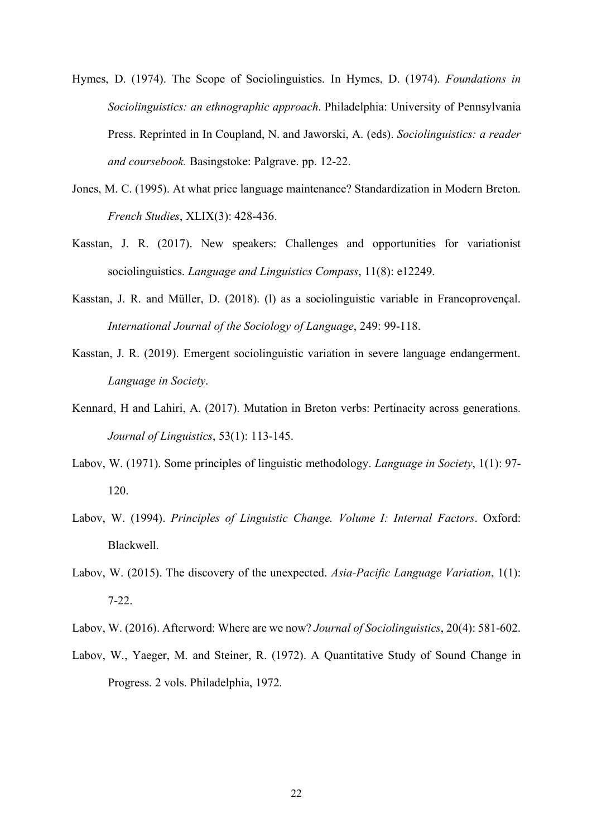- Hymes, D. (1974). The Scope of Sociolinguistics. In Hymes, D. (1974). *Foundations in Sociolinguistics: an ethnographic approach*. Philadelphia: University of Pennsylvania Press. Reprinted in In Coupland, N. and Jaworski, A. (eds). *Sociolinguistics: a reader and coursebook.* Basingstoke: Palgrave. pp. 12-22.
- Jones, M. C. (1995). At what price language maintenance? Standardization in Modern Breton. *French Studies*, XLIX(3): 428-436.
- Kasstan, J. R. (2017). New speakers: Challenges and opportunities for variationist sociolinguistics. *Language and Linguistics Compass*, 11(8): e12249.
- Kasstan, J. R. and Müller, D. (2018). (l) as a sociolinguistic variable in Francoprovençal. *International Journal of the Sociology of Language*, 249: 99-118.
- Kasstan, J. R. (2019). Emergent sociolinguistic variation in severe language endangerment. *Language in Society*.
- Kennard, H and Lahiri, A. (2017). Mutation in Breton verbs: Pertinacity across generations. *Journal of Linguistics*, 53(1): 113-145.
- Labov, W. (1971). Some principles of linguistic methodology. *Language in Society*, 1(1): 97- 120.
- Labov, W. (1994). *Principles of Linguistic Change. Volume I: Internal Factors*. Oxford: Blackwell.
- Labov, W. (2015). The discovery of the unexpected. *Asia-Pacific Language Variation*, 1(1): 7-22.
- Labov, W. (2016). Afterword: Where are we now? *Journal of Sociolinguistics*, 20(4): 581-602.
- Labov, W., Yaeger, M. and Steiner, R. (1972). A Quantitative Study of Sound Change in Progress. 2 vols. Philadelphia, 1972.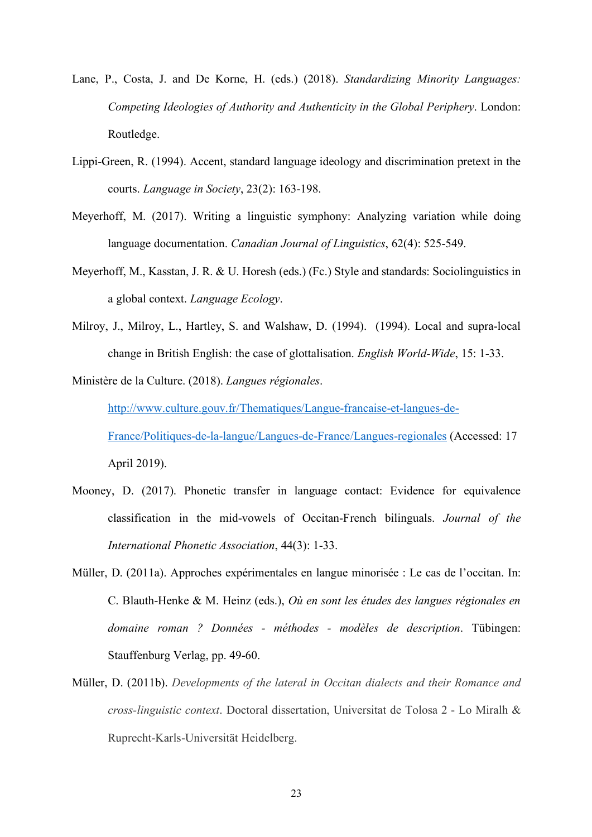- Lane, P., Costa, J. and De Korne, H. (eds.) (2018). *Standardizing Minority Languages: Competing Ideologies of Authority and Authenticity in the Global Periphery*. London: Routledge.
- Lippi-Green, R. (1994). Accent, standard language ideology and discrimination pretext in the courts. *Language in Society*, 23(2): 163-198.
- Meyerhoff, M. (2017). Writing a linguistic symphony: Analyzing variation while doing language documentation. *Canadian Journal of Linguistics*, 62(4): 525-549.
- Meyerhoff, M., Kasstan, J. R. & U. Horesh (eds.) (Fc.) Style and standards: Sociolinguistics in a global context. *Language Ecology*.
- Milroy, J., Milroy, L., Hartley, S. and Walshaw, D. (1994). (1994). Local and supra-local change in British English: the case of glottalisation. *English World-Wide*, 15: 1-33.

Ministère de la Culture. (2018). *Langues régionales*.

http://www.culture.gouv.fr/Thematiques/Langue-francaise-et-langues-de-France/Politiques-de-la-langue/Langues-de-France/Langues-regionales (Accessed: 17 April 2019).

- Mooney, D. (2017). Phonetic transfer in language contact: Evidence for equivalence classification in the mid-vowels of Occitan-French bilinguals. *Journal of the International Phonetic Association*, 44(3): 1-33.
- Müller, D. (2011a). Approches expérimentales en langue minorisée : Le cas de l'occitan. In: C. Blauth-Henke & M. Heinz (eds.), *Où en sont les études des langues régionales en domaine roman ? Données - méthodes - modèles de description*. Tübingen: Stauffenburg Verlag, pp. 49-60.
- Müller, D. (2011b). *Developments of the lateral in Occitan dialects and their Romance and cross-linguistic context*. Doctoral dissertation, Universitat de Tolosa 2 - Lo Miralh & Ruprecht-Karls-Universität Heidelberg.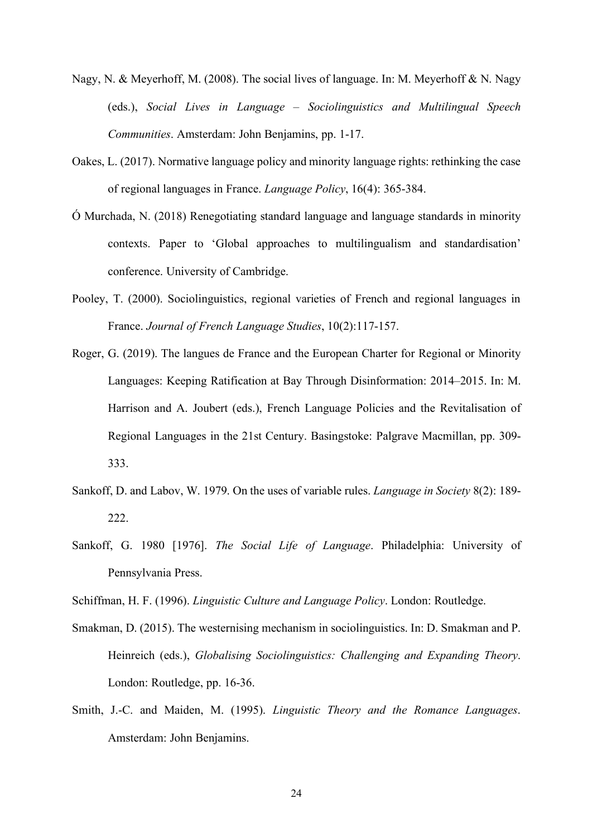- Nagy, N. & Meyerhoff, M. (2008). The social lives of language. In: M. Meyerhoff & N. Nagy (eds.), *Social Lives in Language – Sociolinguistics and Multilingual Speech Communities*. Amsterdam: John Benjamins, pp. 1-17.
- Oakes, L. (2017). Normative language policy and minority language rights: rethinking the case of regional languages in France. *Language Policy*, 16(4): 365-384.
- Ó Murchada, N. (2018) Renegotiating standard language and language standards in minority contexts. Paper to 'Global approaches to multilingualism and standardisation' conference. University of Cambridge.
- Pooley, T. (2000). Sociolinguistics, regional varieties of French and regional languages in France. *Journal of French Language Studies*, 10(2):117-157.
- Roger, G. (2019). The langues de France and the European Charter for Regional or Minority Languages: Keeping Ratification at Bay Through Disinformation: 2014–2015. In: M. Harrison and A. Joubert (eds.), French Language Policies and the Revitalisation of Regional Languages in the 21st Century. Basingstoke: Palgrave Macmillan, pp. 309- 333.
- Sankoff, D. and Labov, W. 1979. On the uses of variable rules. *Language in Society* 8(2): 189- 222.
- Sankoff, G. 1980 [1976]. *The Social Life of Language*. Philadelphia: University of Pennsylvania Press.
- Schiffman, H. F. (1996). *Linguistic Culture and Language Policy*. London: Routledge.
- Smakman, D. (2015). The westernising mechanism in sociolinguistics. In: D. Smakman and P. Heinreich (eds.), *Globalising Sociolinguistics: Challenging and Expanding Theory*. London: Routledge, pp. 16-36.
- Smith, J.-C. and Maiden, M. (1995). *Linguistic Theory and the Romance Languages*. Amsterdam: John Benjamins.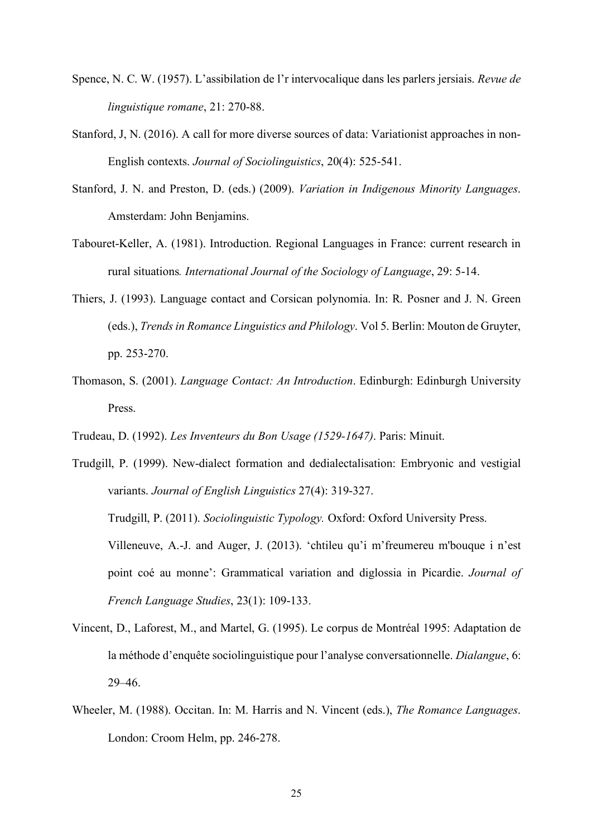- Spence, N. C. W. (1957). L'assibilation de l'r intervocalique dans les parlers jersiais. *Revue de linguistique romane*, 21: 270-88.
- Stanford, J, N. (2016). A call for more diverse sources of data: Variationist approaches in non-English contexts. *Journal of Sociolinguistics*, 20(4): 525-541.
- Stanford, J. N. and Preston, D. (eds.) (2009). *Variation in Indigenous Minority Languages*. Amsterdam: John Benjamins.
- Tabouret-Keller, A. (1981). Introduction. Regional Languages in France: current research in rural situations*. International Journal of the Sociology of Language*, 29: 5-14.
- Thiers, J. (1993). Language contact and Corsican polynomia. In: R. Posner and J. N. Green (eds.), *Trends in Romance Linguistics and Philology*. Vol 5. Berlin: Mouton de Gruyter, pp. 253-270.
- Thomason, S. (2001). *Language Contact: An Introduction*. Edinburgh: Edinburgh University Press.
- Trudeau, D. (1992). *Les Inventeurs du Bon Usage (1529-1647)*. Paris: Minuit.
- Trudgill, P. (1999). New-dialect formation and dedialectalisation: Embryonic and vestigial variants. *Journal of English Linguistics* 27(4): 319-327. Trudgill, P. (2011). *Sociolinguistic Typology.* Oxford: Oxford University Press. Villeneuve, A.-J. and Auger, J. (2013). 'chtileu qu'i m'freumereu m'bouque i n'est point coé au monne': Grammatical variation and diglossia in Picardie. *Journal of French Language Studies*, 23(1): 109-133.
- Vincent, D., Laforest, M., and Martel, G. (1995). Le corpus de Montréal 1995: Adaptation de la méthode d'enquête sociolinguistique pour l'analyse conversationnelle. *Dialangue*, 6: 29–46.
- Wheeler, M. (1988). Occitan. In: M. Harris and N. Vincent (eds.), *The Romance Languages*. London: Croom Helm, pp. 246-278.